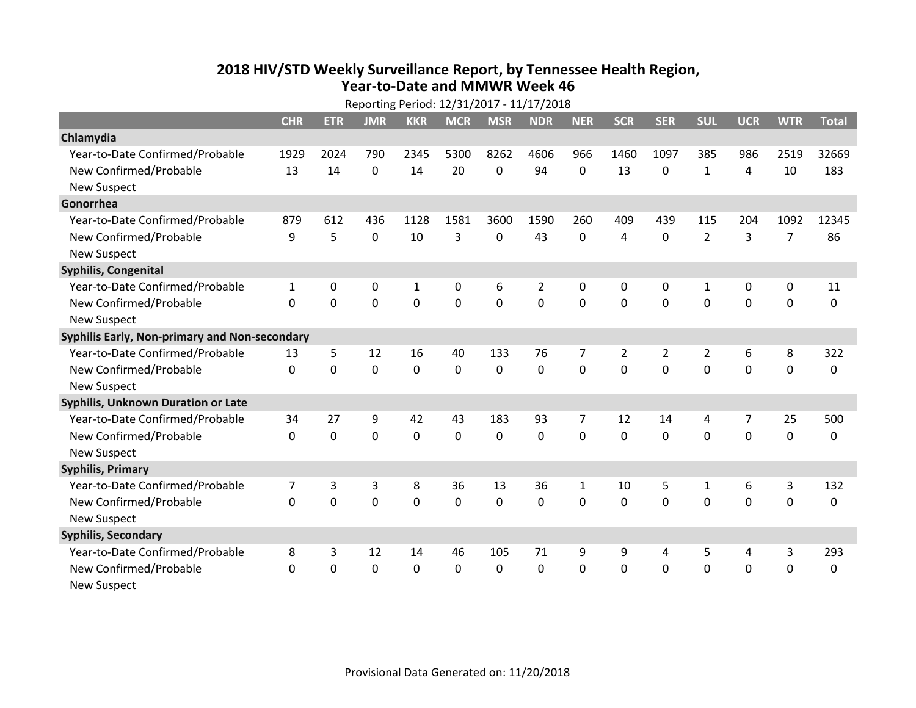## **2018 HIV /STD Weekl y Surveillance Report, b y Tennessee Health Region, Year‐to‐Date and MMWR Week 46**

|                                               | Reporting Period: 12/31/2017 - 11/17/2018 |             |                |             |             |                |                |                |                |                |                |                |                |              |
|-----------------------------------------------|-------------------------------------------|-------------|----------------|-------------|-------------|----------------|----------------|----------------|----------------|----------------|----------------|----------------|----------------|--------------|
|                                               | <b>CHR</b>                                | <b>ETR</b>  | <b>JMR</b>     | <b>KKR</b>  | <b>MCR</b>  | <b>MSR</b>     | <b>NDR</b>     | <b>NER</b>     | <b>SCR</b>     | <b>SER</b>     | <b>SUL</b>     | <b>UCR</b>     | <b>WTR</b>     | <b>Total</b> |
| Chlamydia                                     |                                           |             |                |             |             |                |                |                |                |                |                |                |                |              |
| Year-to-Date Confirmed/Probable               | 1929                                      | 2024        | 790            | 2345        | 5300        | 8262           | 4606           | 966            | 1460           | 1097           | 385            | 986            | 2519           | 32669        |
| New Confirmed/Probable                        | 13                                        | 14          | $\mathbf 0$    | 14          | 20          | 0              | 94             | $\Omega$       | 13             | $\mathbf 0$    | $\mathbf{1}$   | 4              | 10             | 183          |
| <b>New Suspect</b>                            |                                           |             |                |             |             |                |                |                |                |                |                |                |                |              |
| Gonorrhea                                     |                                           |             |                |             |             |                |                |                |                |                |                |                |                |              |
| Year-to-Date Confirmed/Probable               | 879                                       | 612         | 436            | 1128        | 1581        | 3600           | 1590           | 260            | 409            | 439            | 115            | 204            | 1092           | 12345        |
| New Confirmed/Probable                        | 9                                         | 5           | $\overline{0}$ | 10          | 3           | $\mathbf 0$    | 43             | $\mathbf{0}$   | 4              | $\mathbf 0$    | $\overline{2}$ | 3              | $\overline{7}$ | 86           |
| <b>New Suspect</b>                            |                                           |             |                |             |             |                |                |                |                |                |                |                |                |              |
| Syphilis, Congenital                          |                                           |             |                |             |             |                |                |                |                |                |                |                |                |              |
| Year-to-Date Confirmed/Probable               | 1                                         | 0           | 0              | 1           | 0           | 6              | $\overline{2}$ | $\Omega$       | $\Omega$       | 0              | 1              | 0              | 0              | 11           |
| New Confirmed/Probable                        | $\mathbf{0}$                              | $\mathbf 0$ | $\overline{0}$ | $\mathbf 0$ | $\mathbf 0$ | $\overline{0}$ | 0              | $\mathbf{0}$   | $\Omega$       | $\mathbf 0$    | $\mathbf 0$    | $\mathbf 0$    | $\overline{0}$ | $\mathbf 0$  |
| <b>New Suspect</b>                            |                                           |             |                |             |             |                |                |                |                |                |                |                |                |              |
| Syphilis Early, Non-primary and Non-secondary |                                           |             |                |             |             |                |                |                |                |                |                |                |                |              |
| Year-to-Date Confirmed/Probable               | 13                                        | 5           | 12             | 16          | 40          | 133            | 76             | 7              | $\overline{2}$ | $\overline{2}$ | $\overline{2}$ | 6              | 8              | 322          |
| New Confirmed/Probable                        | $\Omega$                                  | $\mathbf 0$ | $\mathbf 0$    | $\mathbf 0$ | $\mathbf 0$ | $\mathbf 0$    | 0              | $\Omega$       | $\Omega$       | $\mathbf 0$    | $\overline{0}$ | $\mathbf 0$    | $\mathbf 0$    | $\mathbf 0$  |
| <b>New Suspect</b>                            |                                           |             |                |             |             |                |                |                |                |                |                |                |                |              |
| Syphilis, Unknown Duration or Late            |                                           |             |                |             |             |                |                |                |                |                |                |                |                |              |
| Year-to-Date Confirmed/Probable               | 34                                        | 27          | 9              | 42          | 43          | 183            | 93             | $\overline{7}$ | 12             | 14             | 4              | $\overline{7}$ | 25             | 500          |
| New Confirmed/Probable                        | $\Omega$                                  | $\mathbf 0$ | $\overline{0}$ | $\mathbf 0$ | $\mathbf 0$ | $\mathbf 0$    | 0              | $\Omega$       | $\Omega$       | $\Omega$       | $\overline{0}$ | $\mathbf 0$    | $\overline{0}$ | 0            |
| <b>New Suspect</b>                            |                                           |             |                |             |             |                |                |                |                |                |                |                |                |              |
| <b>Syphilis, Primary</b>                      |                                           |             |                |             |             |                |                |                |                |                |                |                |                |              |
| Year-to-Date Confirmed/Probable               | 7                                         | 3           | 3              | 8           | 36          | 13             | 36             | $\mathbf{1}$   | 10             | 5              | $\mathbf{1}$   | 6              | 3              | 132          |
| New Confirmed/Probable                        | $\mathbf{0}$                              | 0           | $\mathbf 0$    | $\mathbf 0$ | $\mathbf 0$ | 0              | 0              | $\Omega$       | $\Omega$       | $\mathbf 0$    | $\mathbf 0$    | $\mathbf 0$    | $\mathbf 0$    | 0            |
| <b>New Suspect</b>                            |                                           |             |                |             |             |                |                |                |                |                |                |                |                |              |
| <b>Syphilis, Secondary</b>                    |                                           |             |                |             |             |                |                |                |                |                |                |                |                |              |
| Year-to-Date Confirmed/Probable               | 8                                         | 3           | 12             | 14          | 46          | 105            | 71             | 9              | 9              | 4              | 5              | 4              | 3              | 293          |
| New Confirmed/Probable                        | $\Omega$                                  | $\mathbf 0$ | 0              | $\mathbf 0$ | 0           | 0              | 0              | 0              | 0              | $\mathbf 0$    | 0              | $\mathbf 0$    | $\mathbf 0$    | 0            |
| <b>New Suspect</b>                            |                                           |             |                |             |             |                |                |                |                |                |                |                |                |              |